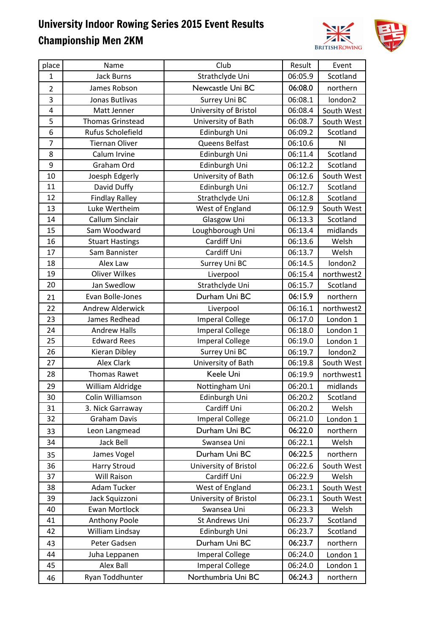

| place          | Name                    | Club                   | Result  | Event          |
|----------------|-------------------------|------------------------|---------|----------------|
| $\mathbf{1}$   | <b>Jack Burns</b>       | Strathclyde Uni        | 06:05.9 | Scotland       |
| $\overline{2}$ | James Robson            | Newcastle Uni BC       | 06:08.0 | northern       |
| 3              | Jonas Butlivas          | Surrey Uni BC          | 06:08.1 | london2        |
| 4              | Matt Jenner             | University of Bristol  | 06:08.4 | South West     |
| 5              | <b>Thomas Grinstead</b> | University of Bath     | 06:08.7 | South West     |
| 6              | Rufus Scholefield       | Edinburgh Uni          | 06:09.2 | Scotland       |
| $\overline{7}$ | <b>Tiernan Oliver</b>   | Queens Belfast         | 06:10.6 | N <sub>1</sub> |
| 8              | Calum Irvine            | Edinburgh Uni          | 06:11.4 | Scotland       |
| 9              | Graham Ord              | Edinburgh Uni          | 06:12.2 | Scotland       |
| 10             | Joesph Edgerly          | University of Bath     | 06:12.6 | South West     |
| 11             | David Duffy             | Edinburgh Uni          | 06:12.7 | Scotland       |
| 12             | <b>Findlay Ralley</b>   | Strathclyde Uni        | 06:12.8 | Scotland       |
| 13             | Luke Wertheim           | West of England        | 06:12.9 | South West     |
| 14             | Callum Sinclair         | Glasgow Uni            | 06:13.3 | Scotland       |
| 15             | Sam Woodward            | Loughborough Uni       | 06:13.4 | midlands       |
| 16             | <b>Stuart Hastings</b>  | Cardiff Uni            | 06:13.6 | Welsh          |
| 17             | Sam Bannister           | Cardiff Uni            | 06:13.7 | Welsh          |
| 18             | Alex Law                | Surrey Uni BC          | 06:14.5 | london2        |
| 19             | <b>Oliver Wilkes</b>    | Liverpool              | 06:15.4 | northwest2     |
| 20             | Jan Swedlow             | Strathclyde Uni        | 06:15.7 | Scotland       |
| 21             | Evan Bolle-Jones        | Durham Uni BC          | 06:15.9 | northern       |
| 22             | <b>Andrew Alderwick</b> | Liverpool              | 06:16.1 | northwest2     |
| 23             | James Redhead           | <b>Imperal College</b> | 06:17.0 | London 1       |
| 24             | <b>Andrew Halls</b>     | <b>Imperal College</b> | 06:18.0 | London 1       |
| 25             | <b>Edward Rees</b>      | <b>Imperal College</b> | 06:19.0 | London 1       |
| 26             | Kieran Dibley           | Surrey Uni BC          | 06:19.7 | london2        |
| 27             | Alex Clark              | University of Bath     | 06:19.8 | South West     |
| 28             | <b>Thomas Rawet</b>     | Keele Uni              | 06:19.9 | northwest1     |
| 29             | William Aldridge        | Nottingham Uni         | 06:20.1 | midlands       |
| 30             | Colin Williamson        | Edinburgh Uni          | 06:20.2 | Scotland       |
| 31             | 3. Nick Garraway        | Cardiff Uni            | 06:20.2 | Welsh          |
| 32             | <b>Graham Davis</b>     | <b>Imperal College</b> | 06:21.0 | London 1       |
| 33             | Leon Langmead           | Durham Uni BC          | 06:22.0 | northern       |
| 34             | Jack Bell               | Swansea Uni            | 06:22.1 | Welsh          |
| 35             | James Vogel             | Durham Uni BC          | 06:22.5 | northern       |
| 36             | <b>Harry Stroud</b>     | University of Bristol  | 06:22.6 | South West     |
| 37             | <b>Will Raison</b>      | Cardiff Uni            | 06:22.9 | Welsh          |
| 38             | Adam Tucker             | West of England        | 06:23.1 | South West     |
| 39             | Jack Squizzoni          | University of Bristol  | 06:23.1 | South West     |
| 40             | Ewan Mortlock           | Swansea Uni            | 06:23.3 | Welsh          |
| 41             | Anthony Poole           | St Andrews Uni         | 06:23.7 | Scotland       |
| 42             | William Lindsay         | Edinburgh Uni          | 06:23.7 | Scotland       |
| 43             | Peter Gadsen            | Durham Uni BC          | 06:23.7 | northern       |
| 44             | Juha Leppanen           | <b>Imperal College</b> | 06:24.0 | London 1       |
| 45             | Alex Ball               | <b>Imperal College</b> | 06:24.0 | London 1       |
| 46             | Ryan Toddhunter         | Northumbria Uni BC     | 06:24.3 | northern       |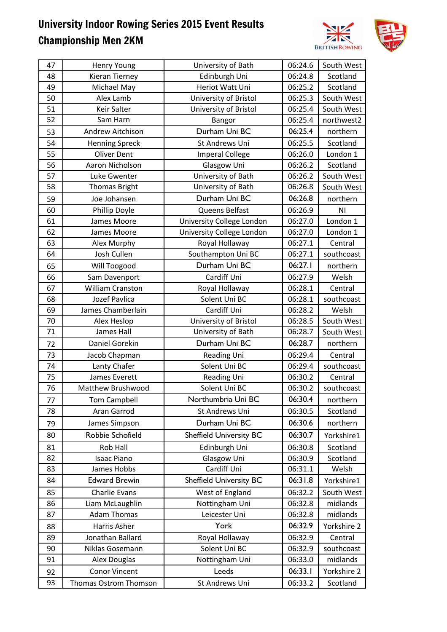

| 47 | Henry Young             | University of Bath             | 06:24.6 | South West     |
|----|-------------------------|--------------------------------|---------|----------------|
| 48 | Kieran Tierney          | Edinburgh Uni                  | 06:24.8 | Scotland       |
| 49 | Michael May             | Heriot Watt Uni                | 06:25.2 | Scotland       |
| 50 | Alex Lamb               | University of Bristol          | 06:25.3 | South West     |
| 51 | Keir Salter             | University of Bristol          | 06:25.4 | South West     |
| 52 | Sam Harn                | Bangor                         | 06:25.4 | northwest2     |
| 53 | Andrew Aitchison        | Durham Uni BC                  | 06:25.4 | northern       |
| 54 | <b>Henning Spreck</b>   | <b>St Andrews Uni</b>          | 06:25.5 | Scotland       |
| 55 | <b>Oliver Dent</b>      | <b>Imperal College</b>         | 06:26.0 | London 1       |
| 56 | Aaron Nicholson         | Glasgow Uni                    | 06:26.2 | Scotland       |
| 57 | Luke Gwenter            | University of Bath             | 06:26.2 | South West     |
| 58 | <b>Thomas Bright</b>    | University of Bath             | 06:26.8 | South West     |
| 59 | Joe Johansen            | Durham Uni BC                  | 06:26.8 | northern       |
| 60 | Phillip Doyle           | Queens Belfast                 | 06:26.9 | N <sub>l</sub> |
| 61 | James Moore             | University College London      | 06:27.0 | London 1       |
| 62 | James Moore             | University College London      | 06:27.0 | London 1       |
| 63 | Alex Murphy             | Royal Hollaway                 | 06:27.1 | Central        |
| 64 | Josh Cullen             | Southampton Uni BC             | 06:27.1 | southcoast     |
| 65 | Will Toogood            | Durham Uni BC                  | 06:27.1 | northern       |
| 66 | Sam Davenport           | Cardiff Uni                    | 06:27.9 | Welsh          |
| 67 | <b>William Cranston</b> | Royal Hollaway                 | 06:28.1 | Central        |
| 68 | Jozef Pavlica           | Solent Uni BC                  | 06:28.1 | southcoast     |
| 69 | James Chamberlain       | Cardiff Uni                    | 06:28.2 | Welsh          |
| 70 | Alex Heslop             | University of Bristol          | 06:28.5 | South West     |
| 71 | James Hall              | University of Bath             | 06:28.7 | South West     |
| 72 | Daniel Gorekin          | Durham Uni BC                  | 06:28.7 | northern       |
| 73 | Jacob Chapman           | Reading Uni                    | 06:29.4 | Central        |
| 74 | Lanty Chafer            | Solent Uni BC                  | 06:29.4 | southcoast     |
| 75 | James Everett           | Reading Uni                    | 06:30.2 | Central        |
| 76 | Matthew Brushwood       | Solent Uni BC                  | 06:30.2 | southcoast     |
| 77 | <b>Tom Campbell</b>     | Northumbria Uni BC             | 06:30.4 | northern       |
| 78 | Aran Garrod             | St Andrews Uni                 | 06:30.5 | Scotland       |
| 79 | James Simpson           | Durham Uni BC                  | 06:30.6 | northern       |
| 80 | Robbie Schofield        | <b>Sheffield University BC</b> | 06:30.7 | Yorkshire1     |
| 81 | Rob Hall                | Edinburgh Uni                  | 06:30.8 | Scotland       |
| 82 | <b>Isaac Piano</b>      | Glasgow Uni                    | 06:30.9 | Scotland       |
| 83 | James Hobbs             | Cardiff Uni                    | 06:31.1 | Welsh          |
| 84 | <b>Edward Brewin</b>    | <b>Sheffield University BC</b> | 06:31.8 | Yorkshire1     |
| 85 | <b>Charlie Evans</b>    | West of England                | 06:32.2 | South West     |
| 86 | Liam McLaughlin         | Nottingham Uni                 | 06:32.8 | midlands       |
| 87 | <b>Adam Thomas</b>      | Leicester Uni                  | 06:32.8 | midlands       |
| 88 | Harris Asher            | York                           | 06:32.9 | Yorkshire 2    |
| 89 | Jonathan Ballard        | Royal Hollaway                 | 06:32.9 | Central        |
| 90 | Niklas Gosemann         | Solent Uni BC                  | 06:32.9 | southcoast     |
| 91 | Alex Douglas            | Nottingham Uni                 | 06:33.0 | midlands       |
| 92 | <b>Conor Vincent</b>    | Leeds                          | 06:33.1 | Yorkshire 2    |
| 93 | Thomas Ostrom Thomson   | St Andrews Uni                 | 06:33.2 | Scotland       |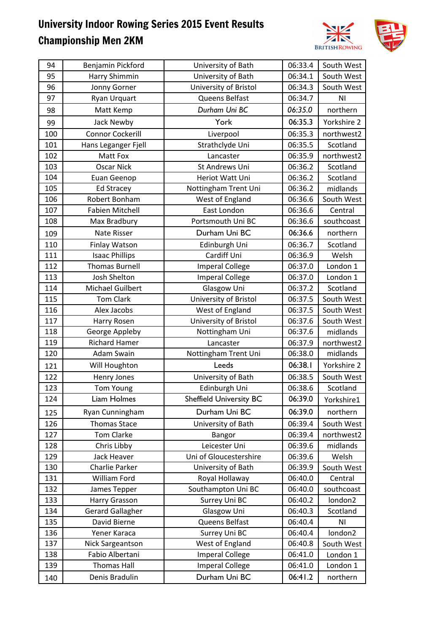

| 94  | Benjamin Pickford       | University of Bath      | 06:33.4 | South West     |
|-----|-------------------------|-------------------------|---------|----------------|
| 95  | Harry Shimmin           | University of Bath      | 06:34.1 | South West     |
| 96  | Jonny Gorner            | University of Bristol   | 06:34.3 | South West     |
| 97  | Ryan Urquart            | Queens Belfast          | 06:34.7 | N <sub>l</sub> |
| 98  | Matt Kemp               | Durham Uni BC           | 06:35.0 | northern       |
| 99  | Jack Newby              | York                    | 06:35.3 | Yorkshire 2    |
| 100 | <b>Connor Cockerill</b> | Liverpool               | 06:35.3 | northwest2     |
| 101 | Hans Leganger Fjell     | Strathclyde Uni         | 06:35.5 | Scotland       |
| 102 | Matt Fox                | Lancaster               | 06:35.9 | northwest2     |
| 103 | <b>Oscar Nick</b>       | St Andrews Uni          | 06:36.2 | Scotland       |
| 104 | Euan Geenop             | Heriot Watt Uni         | 06:36.2 | Scotland       |
| 105 | <b>Ed Stracey</b>       | Nottingham Trent Uni    | 06:36.2 | midlands       |
| 106 | Robert Bonham           | West of England         | 06:36.6 | South West     |
| 107 | <b>Fabien Mitchell</b>  | East London             | 06:36.6 | Central        |
| 108 | Max Bradbury            | Portsmouth Uni BC       | 06:36.6 | southcoast     |
| 109 | Nate Risser             | Durham Uni BC           | 06:36.6 | northern       |
| 110 | Finlay Watson           | Edinburgh Uni           | 06:36.7 | Scotland       |
| 111 | <b>Isaac Phillips</b>   | Cardiff Uni             | 06:36.9 | Welsh          |
| 112 | <b>Thomas Burnell</b>   | <b>Imperal College</b>  | 06:37.0 | London 1       |
| 113 | Josh Shelton            | <b>Imperal College</b>  | 06:37.0 | London 1       |
| 114 | <b>Michael Guilbert</b> | Glasgow Uni             | 06:37.2 | Scotland       |
| 115 | <b>Tom Clark</b>        | University of Bristol   | 06:37.5 | South West     |
| 116 | Alex Jacobs             | West of England         | 06:37.5 | South West     |
| 117 | Harry Rosen             | University of Bristol   | 06:37.6 | South West     |
| 118 | George Appleby          | Nottingham Uni          | 06:37.6 | midlands       |
| 119 | <b>Richard Hamer</b>    | Lancaster               | 06:37.9 | northwest2     |
| 120 | Adam Swain              | Nottingham Trent Uni    | 06:38.0 | midlands       |
| 121 | Will Houghton           | Leeds                   | 06:38.1 | Yorkshire 2    |
| 122 | Henry Jones             | University of Bath      | 06:38.5 | South West     |
| 123 | <b>Tom Young</b>        | Edinburgh Uni           | 06:38.6 | Scotland       |
| 124 | Liam Holmes             | Sheffield University BC | 06:39.0 | Yorkshire1     |
| 125 | Ryan Cunningham         | Durham Uni BC           | 06:39.0 | northern       |
| 126 | <b>Thomas Stace</b>     | University of Bath      | 06:39.4 | South West     |
| 127 | <b>Tom Clarke</b>       | Bangor                  | 06:39.4 | northwest2     |
| 128 | Chris Libby             | Leicester Uni           | 06:39.6 | midlands       |
| 129 | <b>Jack Heaver</b>      | Uni of Gloucestershire  | 06:39.6 | Welsh          |
| 130 | Charlie Parker          | University of Bath      | 06:39.9 | South West     |
| 131 | <b>William Ford</b>     | Royal Hollaway          | 06:40.0 | Central        |
| 132 | James Tepper            | Southampton Uni BC      | 06:40.0 | southcoast     |
| 133 | Harry Grasson           | Surrey Uni BC           | 06:40.2 | london2        |
| 134 | <b>Gerard Gallagher</b> | Glasgow Uni             | 06:40.3 | Scotland       |
| 135 | David Bierne            | Queens Belfast          | 06:40.4 | N <sub>1</sub> |
| 136 | Yener Karaca            | Surrey Uni BC           | 06:40.4 | london2        |
| 137 | Nick Sargeantson        | West of England         | 06:40.8 | South West     |
| 138 | Fabio Albertani         | <b>Imperal College</b>  | 06:41.0 | London 1       |
| 139 | <b>Thomas Hall</b>      | <b>Imperal College</b>  | 06:41.0 | London 1       |
| 140 | Denis Bradulin          | Durham Uni BC           | 06:41.2 | northern       |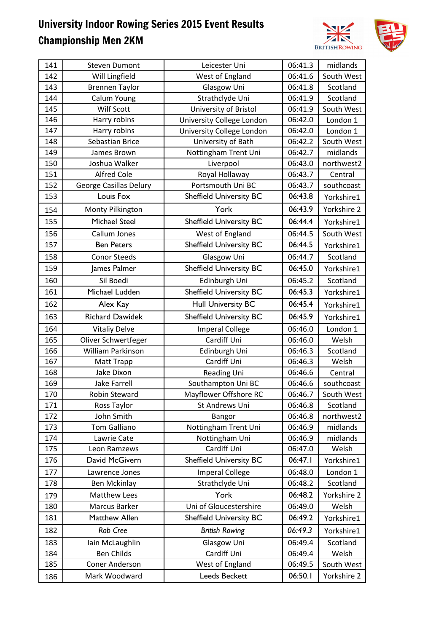

| 141 | <b>Steven Dumont</b>   | Leicester Uni                  | 06:41.3 | midlands    |
|-----|------------------------|--------------------------------|---------|-------------|
| 142 | Will Lingfield         | West of England                | 06:41.6 | South West  |
| 143 | <b>Brennen Taylor</b>  | Glasgow Uni                    | 06:41.8 | Scotland    |
| 144 | Calum Young            | Strathclyde Uni                | 06:41.9 | Scotland    |
| 145 | Wilf Scott             | University of Bristol          | 06:41.9 | South West  |
| 146 | Harry robins           | University College London      | 06:42.0 | London 1    |
| 147 | Harry robins           | University College London      | 06:42.0 | London 1    |
| 148 | Sebastian Brice        | University of Bath             | 06:42.2 | South West  |
| 149 | James Brown            | Nottingham Trent Uni           | 06:42.7 | midlands    |
| 150 | Joshua Walker          | Liverpool                      | 06:43.0 | northwest2  |
| 151 | <b>Alfred Cole</b>     | Royal Hollaway                 | 06:43.7 | Central     |
| 152 | George Casillas Delury | Portsmouth Uni BC              | 06:43.7 | southcoast  |
| 153 | Louis Fox              | <b>Sheffield University BC</b> | 06:43.8 | Yorkshire1  |
| 154 | Monty Pilkington       | York                           | 06:43.9 | Yorkshire 2 |
| 155 | <b>Michael Steel</b>   | <b>Sheffield University BC</b> | 06:44.4 | Yorkshire1  |
| 156 | Callum Jones           | West of England                | 06:44.5 | South West  |
| 157 | <b>Ben Peters</b>      | <b>Sheffield University BC</b> | 06:44.5 | Yorkshire1  |
| 158 | <b>Conor Steeds</b>    | Glasgow Uni                    | 06:44.7 | Scotland    |
| 159 | James Palmer           | <b>Sheffield University BC</b> | 06:45.0 | Yorkshire1  |
| 160 | Sil Boedi              | Edinburgh Uni                  | 06:45.2 | Scotland    |
| 161 | Michael Ludden         | <b>Sheffield University BC</b> | 06:45.3 | Yorkshire1  |
| 162 | Alex Kay               | <b>Hull University BC</b>      | 06:45.4 | Yorkshire1  |
| 163 | <b>Richard Dawidek</b> | <b>Sheffield University BC</b> | 06:45.9 | Yorkshire1  |
| 164 | <b>Vitaliy Delve</b>   | <b>Imperal College</b>         | 06:46.0 | London 1    |
| 165 | Oliver Schwertfeger    | Cardiff Uni                    | 06:46.0 | Welsh       |
| 166 | William Parkinson      | Edinburgh Uni                  | 06:46.3 | Scotland    |
| 167 | Matt Trapp             | Cardiff Uni                    | 06:46.3 | Welsh       |
| 168 | Jake Dixon             | Reading Uni                    | 06:46.6 | Central     |
| 169 | <b>Jake Farrell</b>    | Southampton Uni BC             | 06:46.6 | southcoast  |
| 170 | <b>Robin Steward</b>   | Mayflower Offshore RC          | 06:46.7 | South West  |
| 171 | Ross Taylor            | St Andrews Uni                 | 06:46.8 | Scotland    |
| 172 | John Smith             | Bangor                         | 06:46.8 | northwest2  |
| 173 | <b>Tom Galliano</b>    | Nottingham Trent Uni           | 06:46.9 | midlands    |
| 174 | Lawrie Cate            | Nottingham Uni                 | 06:46.9 | midlands    |
| 175 | Leon Ramzews           | Cardiff Uni                    | 06:47.0 | Welsh       |
| 176 | David McGivern         | <b>Sheffield University BC</b> | 06:47.1 | Yorkshire1  |
| 177 | Lawrence Jones         | <b>Imperal College</b>         | 06:48.0 | London 1    |
| 178 | Ben Mckinlay           | Strathclyde Uni                | 06:48.2 | Scotland    |
| 179 | <b>Matthew Lees</b>    | York                           | 06:48.2 | Yorkshire 2 |
| 180 | Marcus Barker          | Uni of Gloucestershire         | 06:49.0 | Welsh       |
| 181 | Matthew Allen          | <b>Sheffield University BC</b> | 06:49.2 | Yorkshire1  |
| 182 | Rob Cree               | <b>British Rowing</b>          | 06:49.3 | Yorkshire1  |
| 183 | Iain McLaughlin        | Glasgow Uni                    | 06:49.4 | Scotland    |
| 184 | <b>Ben Childs</b>      | Cardiff Uni                    | 06:49.4 | Welsh       |
| 185 | Coner Anderson         | West of England                | 06:49.5 | South West  |
| 186 | Mark Woodward          | Leeds Beckett                  | 06:50.1 | Yorkshire 2 |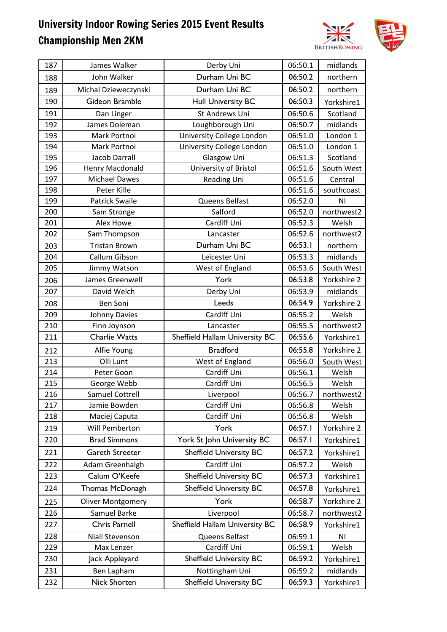

| 187 | James Walker             | Derby Uni                      | 06:50.1 | midlands    |
|-----|--------------------------|--------------------------------|---------|-------------|
| 188 | John Walker              | Durham Uni BC                  | 06:50.2 | northern    |
| 189 | Michal Dzieweczynski     | Durham Uni BC                  | 06:50.2 | northern    |
| 190 | Gideon Bramble           | <b>Hull University BC</b>      | 06:50.3 | Yorkshire1  |
| 191 | Dan Linger               | St Andrews Uni                 | 06:50.6 | Scotland    |
| 192 | James Doleman            | Loughborough Uni               | 06:50.7 | midlands    |
| 193 | Mark Portnoi             | University College London      | 06:51.0 | London 1    |
| 194 | Mark Portnoi             | University College London      | 06:51.0 | London 1    |
| 195 | <b>Jacob Darrall</b>     | Glasgow Uni                    | 06:51.3 | Scotland    |
| 196 | Henry Macdonald          | University of Bristol          | 06:51.6 | South West  |
| 197 | <b>Michael Dawes</b>     | Reading Uni                    | 06:51.6 | Central     |
| 198 | Peter Kille              |                                | 06:51.6 | southcoast  |
| 199 | <b>Patrick Swaile</b>    | Queens Belfast                 | 06:52.0 | ΝI          |
| 200 | Sam Stronge              | Salford                        | 06:52.0 | northwest2  |
| 201 | Alex Howe                | Cardiff Uni                    | 06:52.3 | Welsh       |
| 202 | Sam Thompson             | Lancaster                      | 06:52.6 | northwest2  |
| 203 | <b>Tristan Brown</b>     | Durham Uni BC                  | 06:53.1 | northern    |
| 204 | Callum Gibson            | Leicester Uni                  | 06:53.3 | midlands    |
| 205 | Jimmy Watson             | West of England                | 06:53.6 | South West  |
| 206 | James Greenwell          | York                           | 06:53.8 | Yorkshire 2 |
| 207 | David Welch              | Derby Uni                      | 06:53.9 | midlands    |
| 208 | <b>Ben Soni</b>          | Leeds                          | 06:54.9 | Yorkshire 2 |
| 209 | Johnny Davies            | Cardiff Uni                    | 06:55.2 | Welsh       |
| 210 | Finn Joynson             | Lancaster                      | 06:55.5 | northwest2  |
| 211 | <b>Charlie Watts</b>     | Sheffield Hallam University BC | 06:55.6 | Yorkshire1  |
| 212 | Alfie Young              | <b>Bradford</b>                | 06:55.8 | Yorkshire 2 |
| 213 | Olli Lunt                | West of England                | 06:56.0 | South West  |
| 214 | Peter Goon               | Cardiff Uni                    | 06:56.1 | Welsh       |
| 215 | George Webb              | Cardiff Uni                    | 06:56.5 | Welsh       |
| 216 | <b>Samuel Cottrell</b>   | Liverpool                      | 06:56.7 | northwest2  |
| 217 | Jamie Bowden             | Cardiff Uni                    | 06:56.8 | Welsh       |
| 218 | Maciej Caputa            | Cardiff Uni                    | 06:56.8 | Welsh       |
| 219 | Will Pemberton           | York                           | 06:57.1 | Yorkshire 2 |
| 220 | <b>Brad Simmons</b>      | York St John University BC     | 06:57.1 | Yorkshire1  |
| 221 | Gareth Streeter          | <b>Sheffield University BC</b> | 06:57.2 | Yorkshire1  |
| 222 | Adam Greenhalgh          | Cardiff Uni                    | 06:57.2 | Welsh       |
| 223 | Calum O'Keefe            | <b>Sheffield University BC</b> | 06:57.3 | Yorkshire1  |
| 224 | Thomas McDonagh          | <b>Sheffield University BC</b> | 06:57.8 | Yorkshire1  |
| 225 | <b>Oliver Montgomery</b> | York                           | 06:58.7 | Yorkshire 2 |
| 226 | Samuel Barke             | Liverpool                      | 06:58.7 | northwest2  |
| 227 | Chris Parnell            | Sheffield Hallam University BC | 06:58.9 | Yorkshire1  |
| 228 | Niall Stevenson          | Queens Belfast                 | 06:59.1 | ΝI          |
| 229 | Max Lenzer               | Cardiff Uni                    | 06:59.1 | Welsh       |
| 230 | Jack Appleyard           | <b>Sheffield University BC</b> | 06:59.2 | Yorkshire1  |
| 231 | Ben Lapham               | Nottingham Uni                 | 06:59.2 | midlands    |
| 232 | Nick Shorten             | <b>Sheffield University BC</b> | 06:59.3 | Yorkshire1  |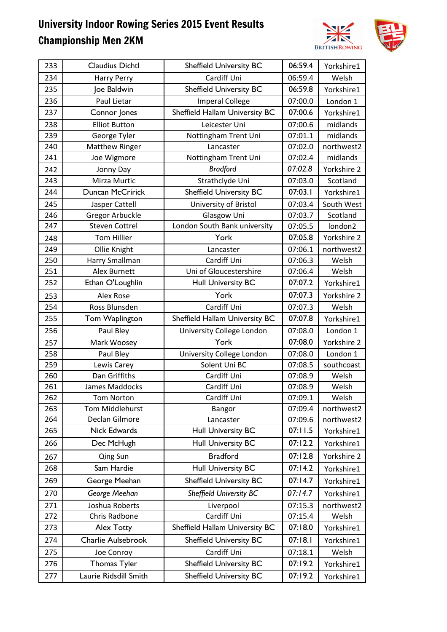

| 233 | Claudius Dichtl         | <b>Sheffield University BC</b> | 06:59.4 | Yorkshire1  |
|-----|-------------------------|--------------------------------|---------|-------------|
| 234 | <b>Harry Perry</b>      | Cardiff Uni                    | 06:59.4 | Welsh       |
| 235 | Joe Baldwin             | <b>Sheffield University BC</b> | 06:59.8 | Yorkshire1  |
| 236 | Paul Lietar             | <b>Imperal College</b>         | 07:00.0 | London 1    |
| 237 | Connor Jones            | Sheffield Hallam University BC | 07:00.6 | Yorkshire1  |
| 238 | <b>Elliot Button</b>    | Leicester Uni                  | 07:00.6 | midlands    |
| 239 | George Tyler            | Nottingham Trent Uni           | 07:01.1 | midlands    |
| 240 | <b>Matthew Ringer</b>   | Lancaster                      | 07:02.0 | northwest2  |
| 241 | Joe Wigmore             | Nottingham Trent Uni           | 07:02.4 | midlands    |
| 242 | Jonny Day               | <b>Bradford</b>                | 07:02.8 | Yorkshire 2 |
| 243 | Mirza Murtic            | Strathclyde Uni                | 07:03.0 | Scotland    |
| 244 | <b>Duncan McCririck</b> | <b>Sheffield University BC</b> | 07:03.1 | Yorkshire1  |
| 245 | Jasper Cattell          | University of Bristol          | 07:03.4 | South West  |
| 246 | <b>Gregor Arbuckle</b>  | Glasgow Uni                    | 07:03.7 | Scotland    |
| 247 | <b>Steven Cottrel</b>   | London South Bank university   | 07:05.5 | london2     |
| 248 | <b>Tom Hillier</b>      | York                           | 07:05.8 | Yorkshire 2 |
| 249 | Ollie Knight            | Lancaster                      | 07:06.1 | northwest2  |
| 250 | Harry Smallman          | Cardiff Uni                    | 07:06.3 | Welsh       |
| 251 | Alex Burnett            | Uni of Gloucestershire         | 07:06.4 | Welsh       |
| 252 | Ethan O'Loughlin        | <b>Hull University BC</b>      | 07:07.2 | Yorkshire1  |
| 253 | <b>Alex Rose</b>        | York                           | 07:07.3 | Yorkshire 2 |
| 254 | Ross Blunsden           | Cardiff Uni                    | 07:07.3 | Welsh       |
| 255 | Tom Waplington          | Sheffield Hallam University BC | 07:07.8 | Yorkshire1  |
| 256 | Paul Bley               | University College London      | 07:08.0 | London 1    |
| 257 | Mark Woosey             | York                           | 07:08.0 | Yorkshire 2 |
| 258 | Paul Bley               | University College London      | 07:08.0 | London 1    |
| 259 | Lewis Carey             | Solent Uni BC                  | 07:08.5 | southcoast  |
| 260 | Dan Griffiths           | Cardiff Uni                    | 07:08.9 | Welsh       |
| 261 | James Maddocks          | Cardiff Uni                    | 07:08.9 | Welsh       |
| 262 | Tom Norton              | Cardiff Uni                    | 07:09.1 | Welsh       |
| 263 | <b>Tom Middlehurst</b>  | Bangor                         | 07:09.4 | northwest2  |
| 264 | Declan Gilmore          | Lancaster                      | 07:09.6 | northwest2  |
| 265 | Nick Edwards            | <b>Hull University BC</b>      | 07:11.5 | Yorkshire1  |
| 266 | Dec McHugh              | Hull University BC             | 07:12.2 | Yorkshire1  |
| 267 | Qing Sun                | <b>Bradford</b>                | 07:12.8 | Yorkshire 2 |
| 268 | Sam Hardie              | <b>Hull University BC</b>      | 07:14.2 | Yorkshire1  |
| 269 | George Meehan           | <b>Sheffield University BC</b> | 07:14.7 | Yorkshire1  |
| 270 | George Meehan           | <b>Sheffield University BC</b> | 07:14.7 | Yorkshire1  |
| 271 | Joshua Roberts          | Liverpool                      | 07:15.3 | northwest2  |
| 272 | Chris Radbone           | Cardiff Uni                    | 07:15.4 | Welsh       |
| 273 | Alex Totty              | Sheffield Hallam University BC | 07:18.0 | Yorkshire1  |
| 274 | Charlie Aulsebrook      | <b>Sheffield University BC</b> | 07:18.1 | Yorkshire1  |
| 275 | Joe Conroy              | Cardiff Uni                    | 07:18.1 | Welsh       |
| 276 | Thomas Tyler            | <b>Sheffield University BC</b> | 07:19.2 | Yorkshire1  |
| 277 | Laurie Ridsdill Smith   | <b>Sheffield University BC</b> | 07:19.2 | Yorkshire1  |
|     |                         |                                |         |             |